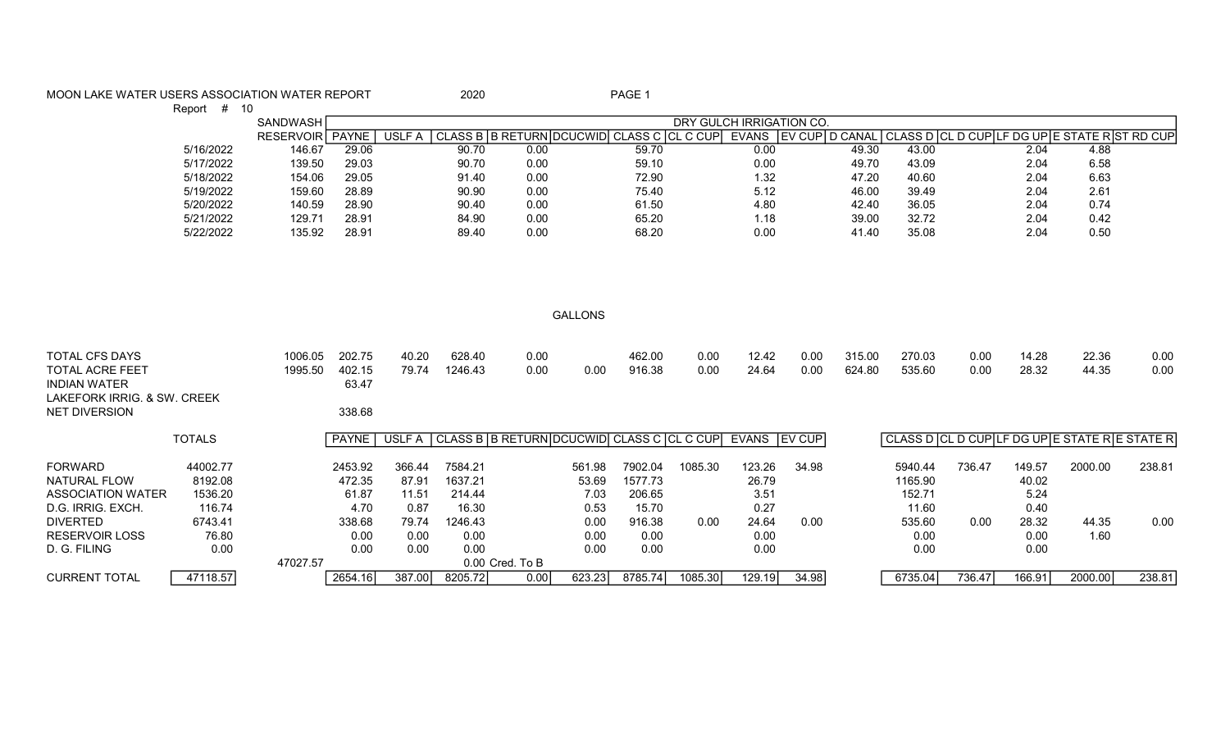## MOON LAKE WATER USERS ASSOCIATION WATER REPORT 2020 2020

Report # 10

|           | SANDWASH         |       |             |       |                             |                       | DRY GULCH IRRIGATION CO. |              |           |         |       |      |                                                |  |
|-----------|------------------|-------|-------------|-------|-----------------------------|-----------------------|--------------------------|--------------|-----------|---------|-------|------|------------------------------------------------|--|
|           | <b>RESERVOIR</b> | PAYNE | USLI<br>F A |       | CLASS B I B RETURN IDCUCWID | CLASS C ICL<br>$\cap$ | C CUP                    | <b>EVANS</b> | I EV CUPI | D CANAL |       |      | CLASS D  CL D CUP LF DG UP E STATE R ST RD CUP |  |
| 5/16/2022 | 146.67           | 29.06 |             | 90.70 | 0.00                        | 59.70                 |                          | 0.00         |           | 49.30   | 43.00 | 2.04 | 4.88                                           |  |
| 5/17/2022 | 139.50           | 29.03 |             | 90.70 | 0.00                        | 59.10                 |                          | 0.00         |           | 49.70   | 43.09 | 2.04 | 6.58                                           |  |
| 5/18/2022 | 154.06           | 29.05 |             | 91.40 | 0.00                        | 72.90                 |                          | 1.32         |           | 47.20   | 40.60 | 2.04 | 6.63                                           |  |
| 5/19/2022 | 159.60           | 28.89 |             | 90.90 | 0.00                        | 75.40                 |                          | 5.12         |           | 46.00   | 39.49 | 2.04 | 2.61                                           |  |
| 5/20/2022 | 140.59           | 28.90 |             | 90.40 | 0.00                        | 61.50                 |                          | 4.80         |           | 42.40   | 36.05 | 2.04 | 0.74                                           |  |
| 5/21/2022 | 129.71           | 28.91 |             | 84.90 | 0.00                        | 65.20                 |                          | 1.18         |           | 39.00   | 32.72 | 2.04 | 0.42                                           |  |
| 5/22/2022 | 135.92           | 28.91 |             | 89.40 | 0.00                        | 68.20                 |                          | 0.00         |           | 41.40   | 35.08 | 2.04 | 0.50                                           |  |

GALLONS

| <b>TOTAL CFS DAYS</b><br>TOTAL ACRE FEET<br><b>INDIAN WATER</b><br>LAKEFORK IRRIG, & SW. CREEK<br><b>NET DIVERSION</b> |                    | 1006.05<br>1995.50 | 202.75<br>402.15<br>63.47<br>338.68 | 40.20<br>79.74 | 628.40<br>1246.43 | 0.00<br>0.00                                     | 0.00          | 462.00<br>916.38  | 0.00<br>0.00 | 12.42<br>24.64 | 0.00<br>0.00 | 315.00<br>624.80 | 270.03<br>535.60  | 0.00<br>0.00 | 14.28<br>28.32 | 22.36<br>44.35                            | 0.00<br>0.00 |
|------------------------------------------------------------------------------------------------------------------------|--------------------|--------------------|-------------------------------------|----------------|-------------------|--------------------------------------------------|---------------|-------------------|--------------|----------------|--------------|------------------|-------------------|--------------|----------------|-------------------------------------------|--------------|
|                                                                                                                        | <b>TOTALS</b>      |                    | <b>PAYNE</b> I                      |                |                   | USLF A CLASS B B RETURN DCUCWID CLASS C CL C CUP |               |                   |              | EVANS EV CUP   |              |                  |                   |              |                | CLASS D CL D CUPLF DG UPE STATE RESTATE R |              |
| <b>FORWARD</b>                                                                                                         | 44002.77           |                    | 2453.92                             | 366.44         | 7584.21           |                                                  | 561.98        | 7902.04           | 1085.30      | 123.26         | 34.98        |                  | 5940.44           | 736.47       | 149.57         | 2000.00                                   | 238.81       |
| NATURAL FLOW<br><b>ASSOCIATION WATER</b>                                                                               | 8192.08<br>1536.20 |                    | 472.35<br>61.87                     | 87.91<br>11.51 | 1637.21<br>214.44 |                                                  | 53.69<br>7.03 | 1577.73<br>206.65 |              | 26.79<br>3.51  |              |                  | 1165.90<br>152.71 |              | 40.02<br>5.24  |                                           |              |
| D.G. IRRIG. EXCH.<br><b>DIVERTED</b>                                                                                   | 116.74<br>6743.41  |                    | 4.70<br>338.68                      | 0.87<br>79.74  | 16.30<br>1246.43  |                                                  | 0.53<br>0.00  | 15.70<br>916.38   | 0.00         | 0.27<br>24.64  | 0.00         |                  | 11.60<br>535.60   | 0.00         | 0.40<br>28.32  | 44.35                                     | 0.00         |
| <b>RESERVOIR LOSS</b>                                                                                                  | 76.80              |                    | 0.00                                | 0.00           | 0.00              |                                                  | 0.00          | 0.00              |              | 0.00           |              |                  | 0.00              |              | 0.00           | 1.60                                      |              |
| D. G. FILING                                                                                                           | 0.00               | 47027.57           | 0.00                                | 0.00           | 0.00              | 0.00 Cred. To B                                  | 0.00          | 0.00              |              | 0.00           |              |                  | 0.00              |              | 0.00           |                                           |              |
| <b>CURRENT TOTAL</b>                                                                                                   | 47118.57           |                    | 2654.16                             | 387.00         | 8205.72           | 0.00                                             | 623.23        | 8785.74           | 1085.30      | 129.19         | 34.98        |                  | 6735.04           | 736.47       | 166.91         | 2000.00                                   | 238.81       |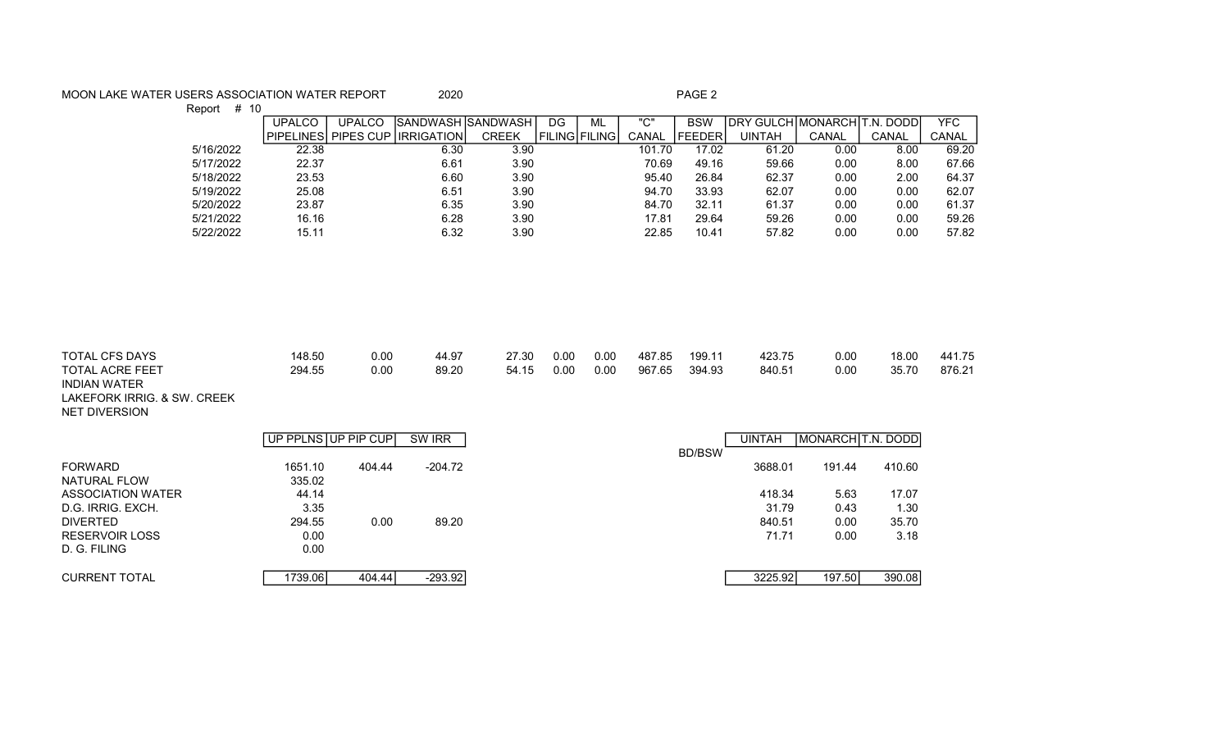## MOON LAKE WATER USERS ASSOCIATION WATER REPORT 2020 2020

Report # 10

|           | UPALCO | UPALCO | ISANDWASH ISANDWASH             |              | DG                 | ML | "C"    | <b>BSW</b>    | IDRY GULCHIMONARCHIT.N. DODD |       |       | <b>YFC</b> |
|-----------|--------|--------|---------------------------------|--------------|--------------------|----|--------|---------------|------------------------------|-------|-------|------------|
|           |        |        | PIPELINES PIPES CUP LIRRIGATION | <b>CREEK</b> | I FILING I FILINGI |    | CANAL  | <b>FEEDER</b> | UINTAH                       | CANAL | CANAL | CANAL      |
| 5/16/2022 | 22.38  |        | 6.30                            | 3.90         |                    |    | 101.70 | 17.02         | 61.20                        | 0.00  | 8.00  | 69.20      |
| 5/17/2022 | 22.37  |        | 6.61                            | 3.90         |                    |    | 70.69  | 49.16         | 59.66                        | 0.00  | 8.00  | 67.66      |
| 5/18/2022 | 23.53  |        | 6.60                            | 3.90         |                    |    | 95.40  | 26.84         | 62.37                        | 0.00  | 2.00  | 64.37      |
| 5/19/2022 | 25.08  |        | 6.51                            | 3.90         |                    |    | 94.70  | 33.93         | 62.07                        | 0.00  | 0.00  | 62.07      |
| 5/20/2022 | 23.87  |        | 6.35                            | 3.90         |                    |    | 84.70  | 32.11         | 61.37                        | 0.00  | 0.00  | 61.37      |
| 5/21/2022 | 16.16  |        | 6.28                            | 3.90         |                    |    | 17.81  | 29.64         | 59.26                        | 0.00  | 0.00  | 59.26      |
| 5/22/2022 | 15.11  |        | 6.32                            | 3.90         |                    |    | 22.85  | 10.41         | 57.82                        | 0.00  | 0.00  | 57.82      |
|           |        |        |                                 |              |                    |    |        |               |                              |       |       |            |

| TOTAL CFS DAYS      | 148.50 | 0.00 | 44.97 | 27.30 | 0.00 | 0.00 | 487.85 | 199.11 | 423.75 | 0.00 | 18.00 | 441.75 |
|---------------------|--------|------|-------|-------|------|------|--------|--------|--------|------|-------|--------|
| TOTAL ACRE FEET     | 294.55 | 0.00 | 89.20 | 54.15 | 0.00 | 0.00 | 967.65 | 394.93 | 840.51 | 0.00 | 35.70 | 876.21 |
| <b>INDIAN WATER</b> |        |      |       |       |      |      |        |        |        |      |       |        |

LAKEFORK IRRIG. & SW. CREEK NET DIVERSION

|                       | UP PPLNS UP PIP CUP |        | SW IRR    |               | <b>UINTAH</b> | MONARCH T.N. DODD |        |
|-----------------------|---------------------|--------|-----------|---------------|---------------|-------------------|--------|
|                       |                     |        |           | <b>BD/BSW</b> |               |                   |        |
| <b>FORWARD</b>        | 1651.10             | 404.44 | -204.72   |               | 3688.01       | 191.44            | 410.60 |
| NATURAL FLOW          | 335.02              |        |           |               |               |                   |        |
| ASSOCIATION WATER     | 44.14               |        |           |               | 418.34        | 5.63              | 17.07  |
| D.G. IRRIG. EXCH.     | 3.35                |        |           |               | 31.79         | 0.43              | 1.30   |
| <b>DIVERTED</b>       | 294.55              | 0.00   | 89.20     |               | 840.51        | 0.00              | 35.70  |
| <b>RESERVOIR LOSS</b> | 0.00                |        |           |               | 71.71         | 0.00              | 3.18   |
| D. G. FILING          | 0.00                |        |           |               |               |                   |        |
|                       |                     |        |           |               |               |                   |        |
| <b>CURRENT TOTAL</b>  | 1739.061            | 404.44 | $-293.92$ |               | 3225.92       | 197.50            | 390.08 |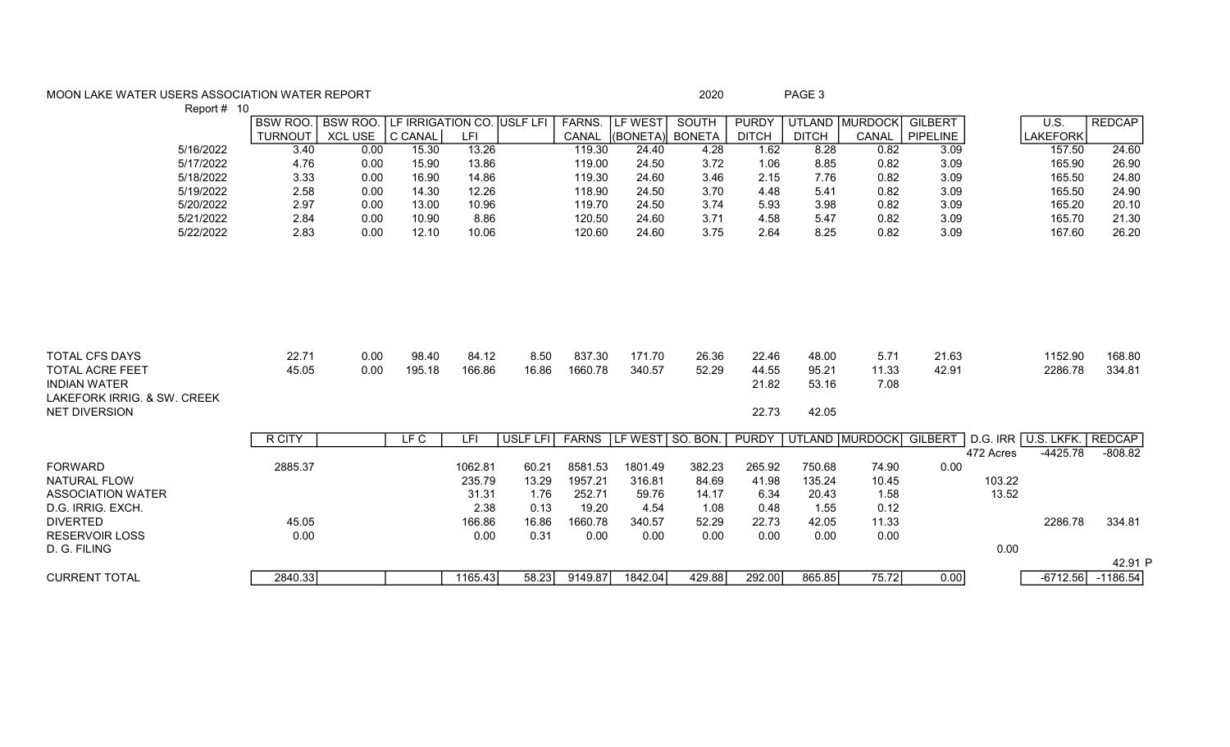## MOON LAKE WATER USERS ASSOCIATION WATER REPORT **And Contain the Container and Container** 2020 **PAGE 3**

| Report # 10<br><b>REDCAP</b><br><b>BSW ROO.</b><br><b>LF IRRIGATION CO. USLF LFI</b><br>FARNS.<br>LF WEST<br><b>SOUTH</b><br><b>PURDY</b><br>UTLAND MURDOCK<br>U.S.<br><b>BSW ROO.</b><br><b>GILBERT</b><br>C CANAL<br>LFI<br>(BONETA) BONETA<br><b>TURNOUT</b><br><b>XCL USE</b><br><b>DITCH</b><br><b>DITCH</b><br>CANAL<br>PIPELINE<br><b>LAKEFORK</b><br>CANAL<br>5/16/2022<br>3.40<br>13.26<br>8.28<br>24.60<br>0.00<br>15.30<br>119.30<br>24.40<br>4.28<br>1.62<br>0.82<br>3.09<br>157.50<br>5/17/2022<br>0.00<br>24.50<br>0.82<br>3.09<br>26.90<br>4.76<br>15.90<br>13.86<br>119.00<br>3.72<br>1.06<br>8.85<br>165.90<br>5/18/2022<br>3.33<br>0.00<br>16.90<br>14.86<br>3.46<br>2.15<br>0.82<br>3.09<br>24.80<br>119.30<br>24.60<br>7.76<br>165.50<br>5/19/2022<br>2.58<br>0.00<br>14.30<br>12.26<br>24.50<br>0.82<br>3.09<br>165.50<br>24.90<br>118.90<br>3.70<br>4.48<br>5.41<br>5/20/2022<br>2.97<br>10.96<br>24.50<br>0.82<br>3.09<br>165.20<br>20.10<br>0.00<br>13.00<br>119.70<br>3.74<br>5.93<br>3.98<br>2.84<br>10.90<br>8.86<br>0.82<br>3.09<br>21.30<br>5/21/2022<br>0.00<br>120.50<br>24.60<br>3.71<br>4.58<br>5.47<br>165.70<br>12.10<br>3.09<br>167.60<br>26.20<br>5/22/2022<br>2.83<br>0.00<br>10.06<br>120.60<br>24.60<br>3.75<br>2.64<br>8.25<br>0.82<br><b>TOTAL CFS DAYS</b><br>22.71<br>837.30<br>0.00<br>98.40<br>84.12<br>8.50<br>171.70<br>26.36<br>22.46<br>21.63<br>1152.90<br>168.80<br>48.00<br>5.71<br>45.05<br>0.00<br>195.18<br>166.86<br>16.86<br>1660.78<br>340.57<br>52.29<br>44.55<br>95.21<br>42.91<br>2286.78<br>334.81<br><b>TOTAL ACRE FEET</b><br>11.33<br><b>INDIAN WATER</b><br>21.82<br>53.16<br>7.08<br>LAKEFORK IRRIG, & SW. CREEK<br>22.73<br><b>NET DIVERSION</b><br>42.05<br>LFC<br>USLF LFI<br><b>FARNS</b><br>LF WEST SO. BON.<br><b>PURDY</b><br>UTLAND MURDOCK<br><b>GILBERT</b><br>D.G. IRR U.S. LKFK. REDCAP<br>R CITY<br>LFI |  |  |  |  |  |  |  |         |
|------------------------------------------------------------------------------------------------------------------------------------------------------------------------------------------------------------------------------------------------------------------------------------------------------------------------------------------------------------------------------------------------------------------------------------------------------------------------------------------------------------------------------------------------------------------------------------------------------------------------------------------------------------------------------------------------------------------------------------------------------------------------------------------------------------------------------------------------------------------------------------------------------------------------------------------------------------------------------------------------------------------------------------------------------------------------------------------------------------------------------------------------------------------------------------------------------------------------------------------------------------------------------------------------------------------------------------------------------------------------------------------------------------------------------------------------------------------------------------------------------------------------------------------------------------------------------------------------------------------------------------------------------------------------------------------------------------------------------------------------------------------------------------------------------------------------------------------------------------------------------------------|--|--|--|--|--|--|--|---------|
|                                                                                                                                                                                                                                                                                                                                                                                                                                                                                                                                                                                                                                                                                                                                                                                                                                                                                                                                                                                                                                                                                                                                                                                                                                                                                                                                                                                                                                                                                                                                                                                                                                                                                                                                                                                                                                                                                          |  |  |  |  |  |  |  |         |
|                                                                                                                                                                                                                                                                                                                                                                                                                                                                                                                                                                                                                                                                                                                                                                                                                                                                                                                                                                                                                                                                                                                                                                                                                                                                                                                                                                                                                                                                                                                                                                                                                                                                                                                                                                                                                                                                                          |  |  |  |  |  |  |  |         |
|                                                                                                                                                                                                                                                                                                                                                                                                                                                                                                                                                                                                                                                                                                                                                                                                                                                                                                                                                                                                                                                                                                                                                                                                                                                                                                                                                                                                                                                                                                                                                                                                                                                                                                                                                                                                                                                                                          |  |  |  |  |  |  |  |         |
|                                                                                                                                                                                                                                                                                                                                                                                                                                                                                                                                                                                                                                                                                                                                                                                                                                                                                                                                                                                                                                                                                                                                                                                                                                                                                                                                                                                                                                                                                                                                                                                                                                                                                                                                                                                                                                                                                          |  |  |  |  |  |  |  |         |
|                                                                                                                                                                                                                                                                                                                                                                                                                                                                                                                                                                                                                                                                                                                                                                                                                                                                                                                                                                                                                                                                                                                                                                                                                                                                                                                                                                                                                                                                                                                                                                                                                                                                                                                                                                                                                                                                                          |  |  |  |  |  |  |  |         |
|                                                                                                                                                                                                                                                                                                                                                                                                                                                                                                                                                                                                                                                                                                                                                                                                                                                                                                                                                                                                                                                                                                                                                                                                                                                                                                                                                                                                                                                                                                                                                                                                                                                                                                                                                                                                                                                                                          |  |  |  |  |  |  |  |         |
|                                                                                                                                                                                                                                                                                                                                                                                                                                                                                                                                                                                                                                                                                                                                                                                                                                                                                                                                                                                                                                                                                                                                                                                                                                                                                                                                                                                                                                                                                                                                                                                                                                                                                                                                                                                                                                                                                          |  |  |  |  |  |  |  |         |
|                                                                                                                                                                                                                                                                                                                                                                                                                                                                                                                                                                                                                                                                                                                                                                                                                                                                                                                                                                                                                                                                                                                                                                                                                                                                                                                                                                                                                                                                                                                                                                                                                                                                                                                                                                                                                                                                                          |  |  |  |  |  |  |  |         |
|                                                                                                                                                                                                                                                                                                                                                                                                                                                                                                                                                                                                                                                                                                                                                                                                                                                                                                                                                                                                                                                                                                                                                                                                                                                                                                                                                                                                                                                                                                                                                                                                                                                                                                                                                                                                                                                                                          |  |  |  |  |  |  |  |         |
|                                                                                                                                                                                                                                                                                                                                                                                                                                                                                                                                                                                                                                                                                                                                                                                                                                                                                                                                                                                                                                                                                                                                                                                                                                                                                                                                                                                                                                                                                                                                                                                                                                                                                                                                                                                                                                                                                          |  |  |  |  |  |  |  |         |
|                                                                                                                                                                                                                                                                                                                                                                                                                                                                                                                                                                                                                                                                                                                                                                                                                                                                                                                                                                                                                                                                                                                                                                                                                                                                                                                                                                                                                                                                                                                                                                                                                                                                                                                                                                                                                                                                                          |  |  |  |  |  |  |  |         |
|                                                                                                                                                                                                                                                                                                                                                                                                                                                                                                                                                                                                                                                                                                                                                                                                                                                                                                                                                                                                                                                                                                                                                                                                                                                                                                                                                                                                                                                                                                                                                                                                                                                                                                                                                                                                                                                                                          |  |  |  |  |  |  |  |         |
|                                                                                                                                                                                                                                                                                                                                                                                                                                                                                                                                                                                                                                                                                                                                                                                                                                                                                                                                                                                                                                                                                                                                                                                                                                                                                                                                                                                                                                                                                                                                                                                                                                                                                                                                                                                                                                                                                          |  |  |  |  |  |  |  |         |
| $-4425.78$<br>472 Acres<br>$-808.82$                                                                                                                                                                                                                                                                                                                                                                                                                                                                                                                                                                                                                                                                                                                                                                                                                                                                                                                                                                                                                                                                                                                                                                                                                                                                                                                                                                                                                                                                                                                                                                                                                                                                                                                                                                                                                                                     |  |  |  |  |  |  |  |         |
| <b>FORWARD</b><br>2885.37<br>1062.81<br>60.21<br>8581.53<br>1801.49<br>382.23<br>265.92<br>750.68<br>74.90<br>0.00                                                                                                                                                                                                                                                                                                                                                                                                                                                                                                                                                                                                                                                                                                                                                                                                                                                                                                                                                                                                                                                                                                                                                                                                                                                                                                                                                                                                                                                                                                                                                                                                                                                                                                                                                                       |  |  |  |  |  |  |  |         |
| <b>NATURAL FLOW</b><br>235.79<br>13.29<br>1957.21<br>84.69<br>41.98<br>135.24<br>10.45<br>103.22<br>316.81                                                                                                                                                                                                                                                                                                                                                                                                                                                                                                                                                                                                                                                                                                                                                                                                                                                                                                                                                                                                                                                                                                                                                                                                                                                                                                                                                                                                                                                                                                                                                                                                                                                                                                                                                                               |  |  |  |  |  |  |  |         |
| 13.52<br><b>ASSOCIATION WATER</b><br>31.31<br>252.71<br>14.17<br>6.34<br>1.58<br>1.76<br>59.76<br>20.43                                                                                                                                                                                                                                                                                                                                                                                                                                                                                                                                                                                                                                                                                                                                                                                                                                                                                                                                                                                                                                                                                                                                                                                                                                                                                                                                                                                                                                                                                                                                                                                                                                                                                                                                                                                  |  |  |  |  |  |  |  |         |
| 0.12<br>D.G. IRRIG. EXCH.<br>2.38<br>0.13<br>19.20<br>4.54<br>1.55<br>1.08<br>0.48                                                                                                                                                                                                                                                                                                                                                                                                                                                                                                                                                                                                                                                                                                                                                                                                                                                                                                                                                                                                                                                                                                                                                                                                                                                                                                                                                                                                                                                                                                                                                                                                                                                                                                                                                                                                       |  |  |  |  |  |  |  |         |
| 11.33<br><b>DIVERTED</b><br>45.05<br>166.86<br>52.29<br>22.73<br>2286.78<br>334.81<br>16.86<br>1660.78<br>340.57<br>42.05                                                                                                                                                                                                                                                                                                                                                                                                                                                                                                                                                                                                                                                                                                                                                                                                                                                                                                                                                                                                                                                                                                                                                                                                                                                                                                                                                                                                                                                                                                                                                                                                                                                                                                                                                                |  |  |  |  |  |  |  |         |
| <b>RESERVOIR LOSS</b><br>0.00<br>0.00<br>0.31<br>0.00<br>0.00<br>0.00<br>0.00<br>0.00<br>0.00                                                                                                                                                                                                                                                                                                                                                                                                                                                                                                                                                                                                                                                                                                                                                                                                                                                                                                                                                                                                                                                                                                                                                                                                                                                                                                                                                                                                                                                                                                                                                                                                                                                                                                                                                                                            |  |  |  |  |  |  |  |         |
| 0.00<br>D. G. FILING                                                                                                                                                                                                                                                                                                                                                                                                                                                                                                                                                                                                                                                                                                                                                                                                                                                                                                                                                                                                                                                                                                                                                                                                                                                                                                                                                                                                                                                                                                                                                                                                                                                                                                                                                                                                                                                                     |  |  |  |  |  |  |  |         |
|                                                                                                                                                                                                                                                                                                                                                                                                                                                                                                                                                                                                                                                                                                                                                                                                                                                                                                                                                                                                                                                                                                                                                                                                                                                                                                                                                                                                                                                                                                                                                                                                                                                                                                                                                                                                                                                                                          |  |  |  |  |  |  |  | 42.91 P |
| 75.72<br>$-1186.54$<br><b>CURRENT TOTAL</b><br>2840.33<br>1165.43<br>58.23<br>9149.87<br>1842.04<br>429.88<br>292.00<br>865.85<br>0.00<br>$-6712.56$                                                                                                                                                                                                                                                                                                                                                                                                                                                                                                                                                                                                                                                                                                                                                                                                                                                                                                                                                                                                                                                                                                                                                                                                                                                                                                                                                                                                                                                                                                                                                                                                                                                                                                                                     |  |  |  |  |  |  |  |         |